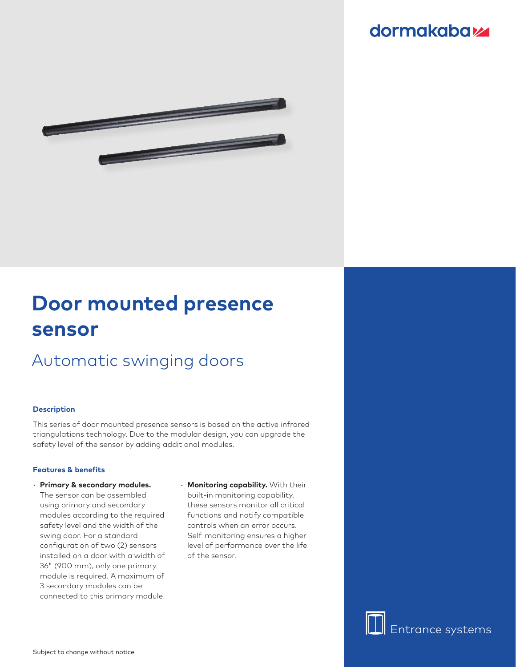### **dormakabazz**



# **Door mounted presence sensor**

## Automatic swinging doors

#### **Description**

This series of door mounted presence sensors is based on the active infrared triangulations technology. Due to the modular design, you can upgrade the safety level of the sensor by adding additional modules.

#### **Features & benefits**

- **Primary & secondary modules.**  The sensor can be assembled using primary and secondary modules according to the required safety level and the width of the swing door. For a standard configuration of two (2) sensors installed on a door with a width of 36" (900 mm), only one primary module is required. A maximum of 3 secondary modules can be connected to this primary module.
- **Monitoring capability.** With their built-in monitoring capability, these sensors monitor all critical functions and notify compatible controls when an error occurs. Self-monitoring ensures a higher level of performance over the life of the sensor.